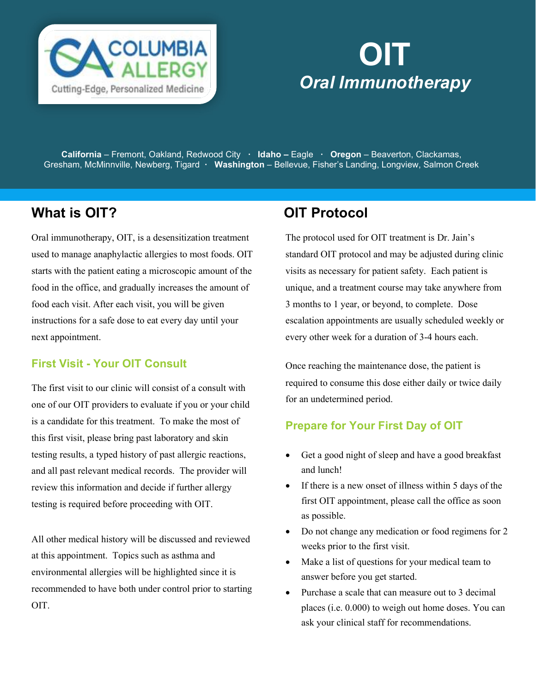

# OIT **Oral Immunotherapy**

California – Fremont, Oakland, Redwood City · Idaho – Eagle · Oregon – Beaverton, Clackamas, Gresham, McMinnville, Newberg, Tigard ∙ Washington – Bellevue, Fisher's Landing, Longview, Salmon Creek

## What is OIT? CONTRIGUITY CONTRIGUITY ON THE OIT Protocol

Oral immunotherapy, OIT, is a desensitization treatment used to manage anaphylactic allergies to most foods. OIT starts with the patient eating a microscopic amount of the food in the office, and gradually increases the amount of food each visit. After each visit, you will be given instructions for a safe dose to eat every day until your next appointment.

#### First Visit - Your OIT Consult

The first visit to our clinic will consist of a consult with one of our OIT providers to evaluate if you or your child is a candidate for this treatment. To make the most of this first visit, please bring past laboratory and skin testing results, a typed history of past allergic reactions, and all past relevant medical records. The provider will review this information and decide if further allergy testing is required before proceeding with OIT.

All other medical history will be discussed and reviewed at this appointment. Topics such as asthma and environmental allergies will be highlighted since it is recommended to have both under control prior to starting OIT.

The protocol used for OIT treatment is Dr. Jain's standard OIT protocol and may be adjusted during clinic visits as necessary for patient safety. Each patient is unique, and a treatment course may take anywhere from 3 months to 1 year, or beyond, to complete. Dose escalation appointments are usually scheduled weekly or every other week for a duration of 3-4 hours each.

Once reaching the maintenance dose, the patient is required to consume this dose either daily or twice daily for an undetermined period.

#### Prepare for Your First Day of OIT

- Get a good night of sleep and have a good breakfast and lunch!
- If there is a new onset of illness within 5 days of the first OIT appointment, please call the office as soon as possible.
- Do not change any medication or food regimens for 2 weeks prior to the first visit.
- Make a list of questions for your medical team to answer before you get started.
- Purchase a scale that can measure out to 3 decimal places (i.e. 0.000) to weigh out home doses. You can ask your clinical staff for recommendations.